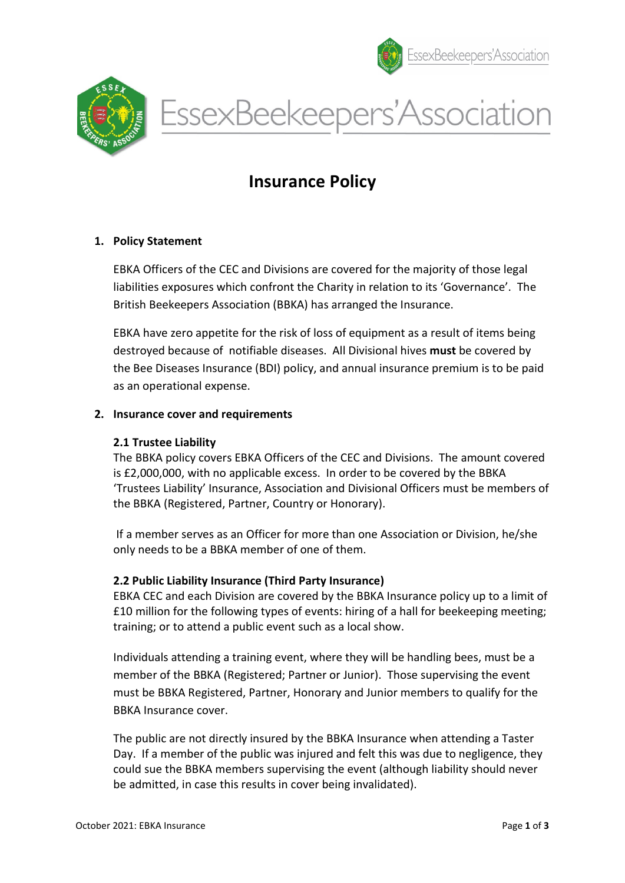





# Insurance Policy

# 1. Policy Statement

EBKA Officers of the CEC and Divisions are covered for the majority of those legal liabilities exposures which confront the Charity in relation to its 'Governance'. The British Beekeepers Association (BBKA) has arranged the Insurance.

EBKA have zero appetite for the risk of loss of equipment as a result of items being destroyed because of notifiable diseases. All Divisional hives must be covered by the Bee Diseases Insurance (BDI) policy, and annual insurance premium is to be paid as an operational expense.

#### 2. Insurance cover and requirements

#### 2.1 Trustee Liability

The BBKA policy covers EBKA Officers of the CEC and Divisions. The amount covered is £2,000,000, with no applicable excess. In order to be covered by the BBKA 'Trustees Liability' Insurance, Association and Divisional Officers must be members of the BBKA (Registered, Partner, Country or Honorary).

 If a member serves as an Officer for more than one Association or Division, he/she only needs to be a BBKA member of one of them.

# 2.2 Public Liability Insurance (Third Party Insurance)

EBKA CEC and each Division are covered by the BBKA Insurance policy up to a limit of £10 million for the following types of events: hiring of a hall for beekeeping meeting; training; or to attend a public event such as a local show.

Individuals attending a training event, where they will be handling bees, must be a member of the BBKA (Registered; Partner or Junior). Those supervising the event must be BBKA Registered, Partner, Honorary and Junior members to qualify for the BBKA Insurance cover.

The public are not directly insured by the BBKA Insurance when attending a Taster Day. If a member of the public was injured and felt this was due to negligence, they could sue the BBKA members supervising the event (although liability should never be admitted, in case this results in cover being invalidated).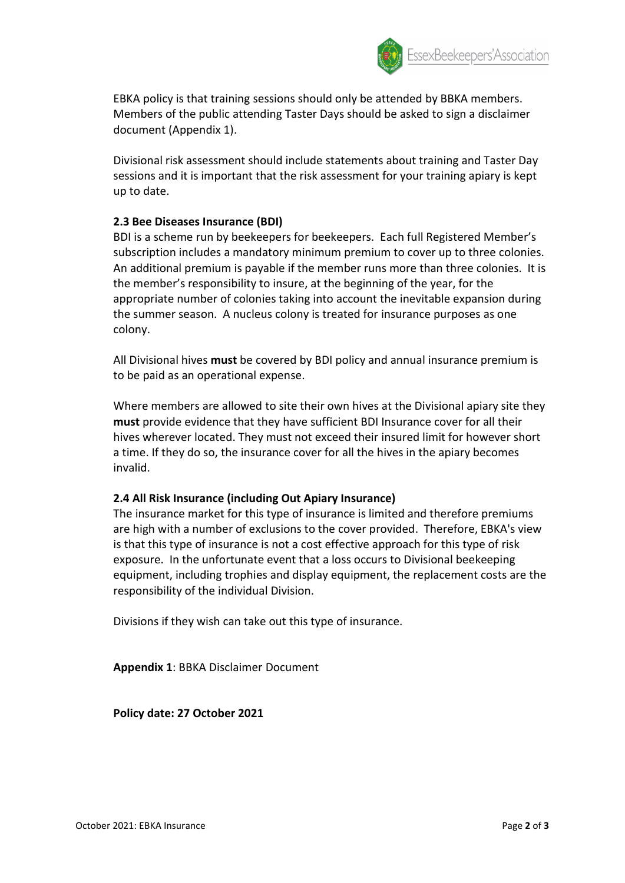

EBKA policy is that training sessions should only be attended by BBKA members. Members of the public attending Taster Days should be asked to sign a disclaimer document (Appendix 1).

Divisional risk assessment should include statements about training and Taster Day sessions and it is important that the risk assessment for your training apiary is kept up to date.

# 2.3 Bee Diseases Insurance (BDI)

BDI is a scheme run by beekeepers for beekeepers. Each full Registered Member's subscription includes a mandatory minimum premium to cover up to three colonies. An additional premium is payable if the member runs more than three colonies. It is the member's responsibility to insure, at the beginning of the year, for the appropriate number of colonies taking into account the inevitable expansion during the summer season. A nucleus colony is treated for insurance purposes as one colony.

All Divisional hives must be covered by BDI policy and annual insurance premium is to be paid as an operational expense.

Where members are allowed to site their own hives at the Divisional apiary site they must provide evidence that they have sufficient BDI Insurance cover for all their hives wherever located. They must not exceed their insured limit for however short a time. If they do so, the insurance cover for all the hives in the apiary becomes invalid.

# 2.4 All Risk Insurance (including Out Apiary Insurance)

The insurance market for this type of insurance is limited and therefore premiums are high with a number of exclusions to the cover provided. Therefore, EBKA's view is that this type of insurance is not a cost effective approach for this type of risk exposure. In the unfortunate event that a loss occurs to Divisional beekeeping equipment, including trophies and display equipment, the replacement costs are the responsibility of the individual Division.

Divisions if they wish can take out this type of insurance.

Appendix 1: BBKA Disclaimer Document

Policy date: 27 October 2021